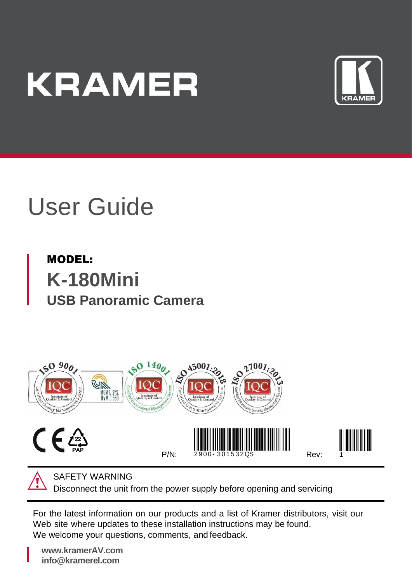# **KRAMER**



## User Guide

### MODEL: **K-180Mini USB Panoramic Camera**



SAFETY WARNING

Disconnect the unit from the power supply before opening and servicing

For the latest information on our products and a list of Kramer distributors, visit our Web site where updates to these installation instructions may be found. We welcome your questions, comments, and feedback.

**[www.kramerAV.com](http://www.kramerav.com/) info@kramerel.com**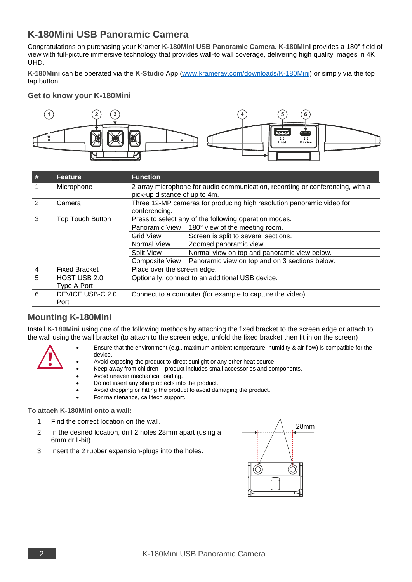#### **K-180Mini USB Panoramic Camera**

Congratulations on purchasing your Kramer **K-180Mini USB Panoramic Camera**. **K-180Mini** provides a 180° field of view with full-picture immersive technology that provides wall-to wall coverage, delivering high quality images in 4K UHD.

**K-180Mini** can be operated via the **K-Studio** App [\(www.kramerav.com/downloads/K-180Mini\)](http://www.kramerav.com/downloads/K-180Mini) or simply via the top tap button.

#### **Get to know your K-180Mini**



| #              | Feature                     | <b>Function</b>                                                                                                |                                                |
|----------------|-----------------------------|----------------------------------------------------------------------------------------------------------------|------------------------------------------------|
| $\mathbf{1}$   | Microphone                  | 2-array microphone for audio communication, recording or conferencing, with a<br>pick-up distance of up to 4m. |                                                |
| $\overline{2}$ | Camera                      | Three 12-MP cameras for producing high resolution panoramic video for<br>conferencing.                         |                                                |
| 3              | <b>Top Touch Button</b>     | Press to select any of the following operation modes.                                                          |                                                |
|                |                             | Panoramic View                                                                                                 | 180° view of the meeting room.                 |
|                |                             | Grid View                                                                                                      | Screen is split to several sections.           |
|                |                             | Normal View                                                                                                    | Zoomed panoramic view.                         |
|                |                             | Split View                                                                                                     | Normal view on top and panoramic view below.   |
|                |                             | Composite View                                                                                                 | Panoramic view on top and on 3 sections below. |
| 4              | <b>Fixed Bracket</b>        | Place over the screen edge.                                                                                    |                                                |
| $\overline{5}$ | HOST USB 2.0<br>Type A Port | Optionally, connect to an additional USB device.                                                               |                                                |
| 6              | DEVICE USB-C 2.0<br>Port    | Connect to a computer (for example to capture the video).                                                      |                                                |

#### **Mounting K-180Mini**

Install **K-180Mini** using one of the following methods by attaching the fixed bracket to the screen edge or attach to the wall using the wall bracket (to attach to the screen edge, unfold the fixed bracket then fit in on the screen)



- Ensure that the environment (e.g., maximum ambient temperature, humidity & air flow) is compatible for the device.
- Avoid exposing the product to direct sunlight or any other heat source.
- Keep away from children product includes small accessories and components.
- Avoid uneven mechanical loading.
- Do not insert any sharp objects into the product.
- Avoid dropping or hitting the product to avoid damaging the product.
- For maintenance, call tech support.

#### **To attach K-180Mini onto a wall:**

- 1. Find the correct location on the wall.
- 2. In the desired location, drill 2 holes 28mm apart (using a 6mm drill-bit).
- 3. Insert the 2 rubber expansion-plugs into the holes.

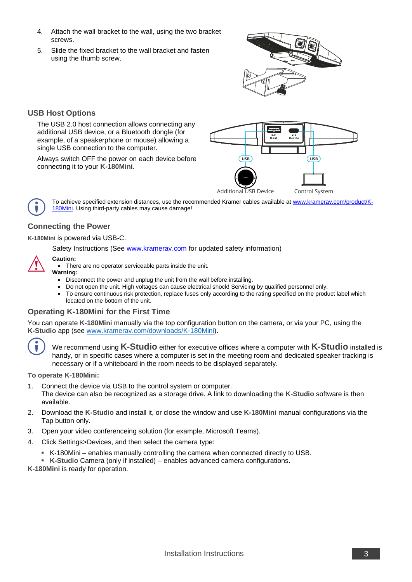- 4. Attach the wall bracket to the wall, using the two bracket screws.
- 5. Slide the fixed bracket to the wall bracket and fasten using the thumb screw.



#### **USB Host Options**

The USB 2.0 host connection allows connecting any additional USB device, or a Bluetooth dongle (for example, of a speakerphone or mouse) allowing a single USB connection to the computer.

Always switch OFF the power on each device before connecting it to your **K-180Mini**.



To achieve specified extension distances, use the recommended Kramer cables available a[t www.kramerav.com/product/K-](http://www.kramerav.com/product/K-180Mini)[180Mini.](http://www.kramerav.com/product/K-180Mini) Using third-party cables may cause damage!

#### **Connecting the Power**

**K-180Mini** is powered via USB-C.

Safety Instructions (Se[e www.kramerav.com](http://www.kramerav.com/) for updated safety information)

#### **Caution:**

• There are no operator serviceable parts inside the unit.

#### **Warning:**

- Disconnect the power and unplug the unit from the wall before installing.
- Do not open the unit. High voltages can cause electrical shock! Servicing by qualified personnel only.
- To ensure continuous risk protection, replace fuses only according to the rating specified on the product label which located on the bottom of the unit.

#### **Operating K-180Mini for the First Time**

You can operate **K-180Mini** manually via the top configuration button on the camera, or via your PC, using the **K-Studio** app (see [www.kramerav.com/downloads/K-180Mini\)](http://www.kramerav.com/downloads/K-180Mini).



We recommend using **K-Studio** either for executive offices where a computer with **K-Studio** installed is handy, or in specific cases where a computer is set in the meeting room and dedicated speaker tracking is necessary or if a whiteboard in the room needs to be displayed separately.

**To operate K-180Mini:**

- 1. Connect the device via USB to the control system or computer. The device can also be recognized as a storage drive. A link to downloading the **K-Studio** software is then
- available.
- 2. Download the **K-Studio** and install it, or close the window and use **K-180Mini** manual configurations via the Tap button only.
- 3. Open your video conferenceing solution (for example, Microsoft Teams).
- 4. Click Settings>Devices, and then select the camera type:
	- K-180Mini enables manually controlling the camera when connected directly to USB.
	- **K-Studio** Camera (only if installed) enables advanced camera configurations.

**K-180Mini** is ready for operation.